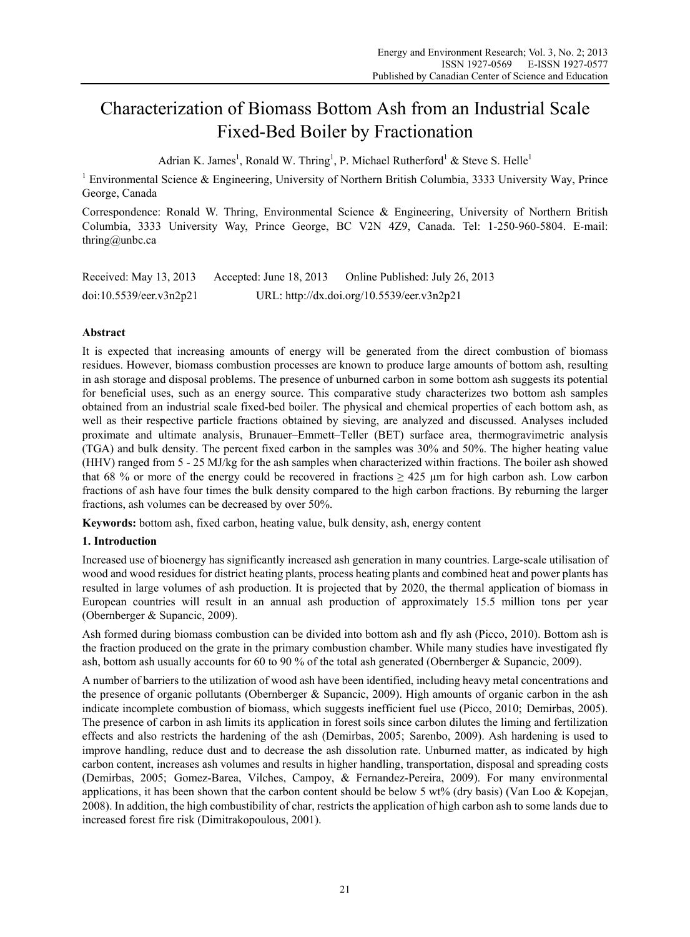# Characterization of Biomass Bottom Ash from an Industrial Scale Fixed-Bed Boiler by Fractionation

Adrian K. James<sup>1</sup>, Ronald W. Thring<sup>1</sup>, P. Michael Rutherford<sup>1</sup> & Steve S. Helle<sup>1</sup>

<sup>1</sup> Environmental Science & Engineering, University of Northern British Columbia, 3333 University Way, Prince George, Canada

Correspondence: Ronald W. Thring, Environmental Science & Engineering, University of Northern British Columbia, 3333 University Way, Prince George, BC V2N 4Z9, Canada. Tel: 1-250-960-5804. E-mail: thring@unbc.ca

Received: May 13, 2013 Accepted: June 18, 2013 Online Published: July 26, 2013 doi:10.5539/eer.v3n2p21 URL: http://dx.doi.org/10.5539/eer.v3n2p21

# **Abstract**

It is expected that increasing amounts of energy will be generated from the direct combustion of biomass residues. However, biomass combustion processes are known to produce large amounts of bottom ash, resulting in ash storage and disposal problems. The presence of unburned carbon in some bottom ash suggests its potential for beneficial uses, such as an energy source. This comparative study characterizes two bottom ash samples obtained from an industrial scale fixed-bed boiler. The physical and chemical properties of each bottom ash, as well as their respective particle fractions obtained by sieving, are analyzed and discussed. Analyses included proximate and ultimate analysis, Brunauer–Emmett–Teller (BET) surface area, thermogravimetric analysis (TGA) and bulk density. The percent fixed carbon in the samples was 30% and 50%. The higher heating value (HHV) ranged from 5 - 25 MJ/kg for the ash samples when characterized within fractions. The boiler ash showed that 68 % or more of the energy could be recovered in fractions  $\geq 425$  µm for high carbon ash. Low carbon fractions of ash have four times the bulk density compared to the high carbon fractions. By reburning the larger fractions, ash volumes can be decreased by over 50%.

**Keywords:** bottom ash, fixed carbon, heating value, bulk density, ash, energy content

# **1. Introduction**

Increased use of bioenergy has significantly increased ash generation in many countries. Large-scale utilisation of wood and wood residues for district heating plants, process heating plants and combined heat and power plants has resulted in large volumes of ash production. It is projected that by 2020, the thermal application of biomass in European countries will result in an annual ash production of approximately 15.5 million tons per year (Obernberger & Supancic, 2009).

Ash formed during biomass combustion can be divided into bottom ash and fly ash (Picco, 2010). Bottom ash is the fraction produced on the grate in the primary combustion chamber. While many studies have investigated fly ash, bottom ash usually accounts for 60 to 90 % of the total ash generated (Obernberger & Supancic, 2009).

A number of barriers to the utilization of wood ash have been identified, including heavy metal concentrations and the presence of organic pollutants (Obernberger & Supancic, 2009). High amounts of organic carbon in the ash indicate incomplete combustion of biomass, which suggests inefficient fuel use (Picco, 2010; Demirbas, 2005). The presence of carbon in ash limits its application in forest soils since carbon dilutes the liming and fertilization effects and also restricts the hardening of the ash (Demirbas, 2005; Sarenbo, 2009). Ash hardening is used to improve handling, reduce dust and to decrease the ash dissolution rate. Unburned matter, as indicated by high carbon content, increases ash volumes and results in higher handling, transportation, disposal and spreading costs (Demirbas, 2005; Gomez-Barea, Vilches, Campoy, & Fernandez-Pereira, 2009). For many environmental applications, it has been shown that the carbon content should be below 5 wt% (dry basis) (Van Loo & Kopejan, 2008). In addition, the high combustibility of char, restricts the application of high carbon ash to some lands due to increased forest fire risk (Dimitrakopoulous, 2001).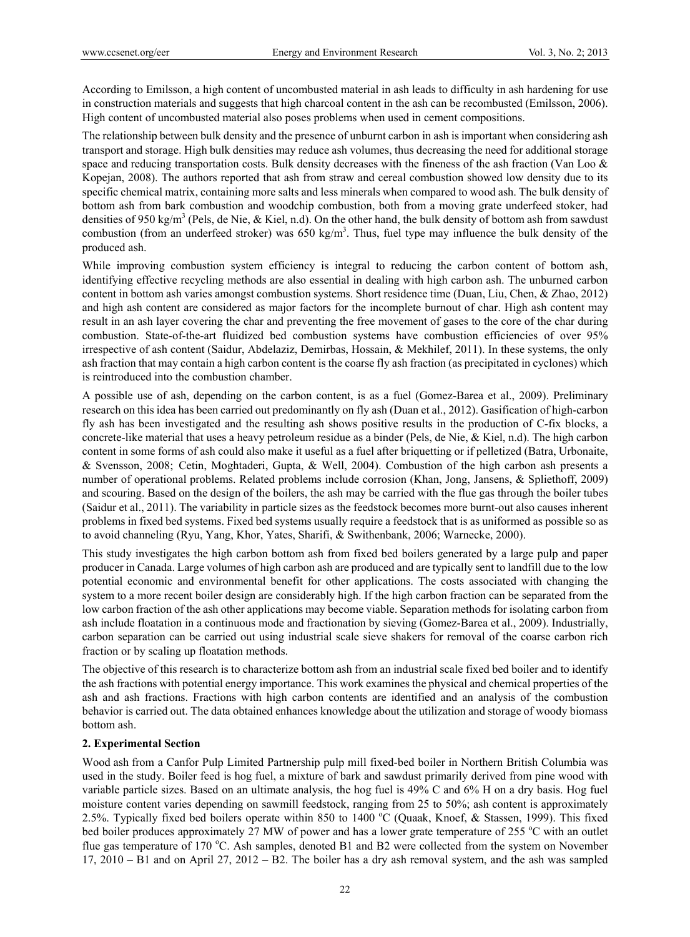According to Emilsson, a high content of uncombusted material in ash leads to difficulty in ash hardening for use in construction materials and suggests that high charcoal content in the ash can be recombusted (Emilsson, 2006). High content of uncombusted material also poses problems when used in cement compositions.

The relationship between bulk density and the presence of unburnt carbon in ash is important when considering ash transport and storage. High bulk densities may reduce ash volumes, thus decreasing the need for additional storage space and reducing transportation costs. Bulk density decreases with the fineness of the ash fraction (Van Loo & Kopejan, 2008). The authors reported that ash from straw and cereal combustion showed low density due to its specific chemical matrix, containing more salts and less minerals when compared to wood ash. The bulk density of bottom ash from bark combustion and woodchip combustion, both from a moving grate underfeed stoker, had densities of 950 kg/m<sup>3</sup> (Pels, de Nie, & Kiel, n.d). On the other hand, the bulk density of bottom ash from sawdust combustion (from an underfeed stroker) was  $650 \text{ kg/m}^3$ . Thus, fuel type may influence the bulk density of the produced ash.

While improving combustion system efficiency is integral to reducing the carbon content of bottom ash, identifying effective recycling methods are also essential in dealing with high carbon ash. The unburned carbon content in bottom ash varies amongst combustion systems. Short residence time (Duan, Liu, Chen, & Zhao, 2012) and high ash content are considered as major factors for the incomplete burnout of char. High ash content may result in an ash layer covering the char and preventing the free movement of gases to the core of the char during combustion. State-of-the-art fluidized bed combustion systems have combustion efficiencies of over 95% irrespective of ash content (Saidur, Abdelaziz, Demirbas, Hossain, & Mekhilef, 2011). In these systems, the only ash fraction that may contain a high carbon content is the coarse fly ash fraction (as precipitated in cyclones) which is reintroduced into the combustion chamber.

A possible use of ash, depending on the carbon content, is as a fuel (Gomez-Barea et al., 2009). Preliminary research on this idea has been carried out predominantly on fly ash (Duan et al., 2012). Gasification of high-carbon fly ash has been investigated and the resulting ash shows positive results in the production of C-fix blocks, a concrete-like material that uses a heavy petroleum residue as a binder (Pels, de Nie, & Kiel, n.d). The high carbon content in some forms of ash could also make it useful as a fuel after briquetting or if pelletized (Batra, Urbonaite, & Svensson, 2008; Cetin, Moghtaderi, Gupta, & Well, 2004). Combustion of the high carbon ash presents a number of operational problems. Related problems include corrosion (Khan, Jong, Jansens, & Spliethoff, 2009) and scouring. Based on the design of the boilers, the ash may be carried with the flue gas through the boiler tubes (Saidur et al., 2011). The variability in particle sizes as the feedstock becomes more burnt-out also causes inherent problems in fixed bed systems. Fixed bed systems usually require a feedstock that is as uniformed as possible so as to avoid channeling (Ryu, Yang, Khor, Yates, Sharifi, & Swithenbank, 2006; Warnecke, 2000).

This study investigates the high carbon bottom ash from fixed bed boilers generated by a large pulp and paper producer in Canada. Large volumes of high carbon ash are produced and are typically sent to landfill due to the low potential economic and environmental benefit for other applications. The costs associated with changing the system to a more recent boiler design are considerably high. If the high carbon fraction can be separated from the low carbon fraction of the ash other applications may become viable. Separation methods for isolating carbon from ash include floatation in a continuous mode and fractionation by sieving (Gomez-Barea et al., 2009). Industrially, carbon separation can be carried out using industrial scale sieve shakers for removal of the coarse carbon rich fraction or by scaling up floatation methods.

The objective of this research is to characterize bottom ash from an industrial scale fixed bed boiler and to identify the ash fractions with potential energy importance. This work examines the physical and chemical properties of the ash and ash fractions. Fractions with high carbon contents are identified and an analysis of the combustion behavior is carried out. The data obtained enhances knowledge about the utilization and storage of woody biomass bottom ash.

# **2. Experimental Section**

Wood ash from a Canfor Pulp Limited Partnership pulp mill fixed-bed boiler in Northern British Columbia was used in the study. Boiler feed is hog fuel, a mixture of bark and sawdust primarily derived from pine wood with variable particle sizes. Based on an ultimate analysis, the hog fuel is 49% C and 6% H on a dry basis. Hog fuel moisture content varies depending on sawmill feedstock, ranging from 25 to 50%; ash content is approximately 2.5%. Typically fixed bed boilers operate within 850 to 1400 °C (Quaak, Knoef, & Stassen, 1999). This fixed bed boiler produces approximately 27 MW of power and has a lower grate temperature of 255 °C with an outlet flue gas temperature of 170 °C. Ash samples, denoted B1 and B2 were collected from the system on November 17, 2010 – B1 and on April 27, 2012 – B2. The boiler has a dry ash removal system, and the ash was sampled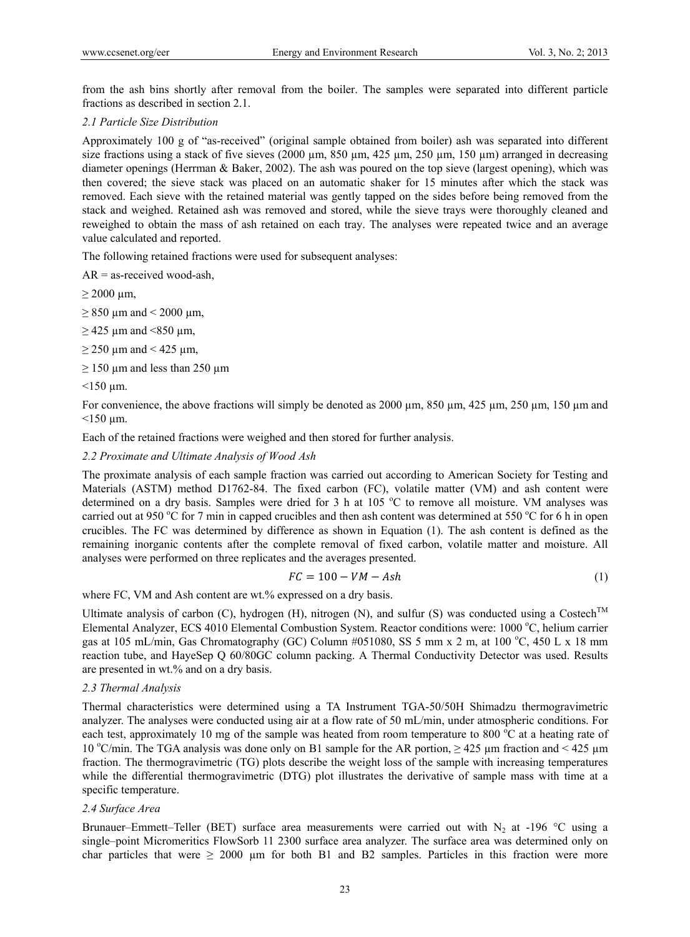from the ash bins shortly after removal from the boiler. The samples were separated into different particle fractions as described in section 2.1.

### *2.1 Particle Size Distribution*

Approximately 100 g of "as-received" (original sample obtained from boiler) ash was separated into different size fractions using a stack of five sieves (2000  $\mu$ m, 850  $\mu$ m, 425  $\mu$ m, 250  $\mu$ m, 150  $\mu$ m) arranged in decreasing diameter openings (Herrman & Baker, 2002). The ash was poured on the top sieve (largest opening), which was then covered; the sieve stack was placed on an automatic shaker for 15 minutes after which the stack was removed. Each sieve with the retained material was gently tapped on the sides before being removed from the stack and weighed. Retained ash was removed and stored, while the sieve trays were thoroughly cleaned and reweighed to obtain the mass of ash retained on each tray. The analyses were repeated twice and an average value calculated and reported.

The following retained fractions were used for subsequent analyses:

 $AR =$  as-received wood-ash,

 $\geq$  2000 µm,

 $\geq$  850 µm and < 2000 µm,

 $\geq$  425 µm and <850 µm,

 $\geq$  250 µm and < 425 µm,

 $\geq$  150 µm and less than 250 µm

 $<$ 150 µm.

For convenience, the above fractions will simply be denoted as 2000  $\mu$ m, 850  $\mu$ m, 425  $\mu$ m, 250  $\mu$ m, 150  $\mu$ m and  $<$ 150 µm.

Each of the retained fractions were weighed and then stored for further analysis.

# *2.2 Proximate and Ultimate Analysis of Wood Ash*

The proximate analysis of each sample fraction was carried out according to American Society for Testing and Materials (ASTM) method D1762-84. The fixed carbon (FC), volatile matter (VM) and ash content were determined on a dry basis. Samples were dried for 3 h at 105 °C to remove all moisture. VM analyses was carried out at 950 °C for 7 min in capped crucibles and then ash content was determined at 550 °C for 6 h in open crucibles. The FC was determined by difference as shown in Equation (1). The ash content is defined as the remaining inorganic contents after the complete removal of fixed carbon, volatile matter and moisture. All analyses were performed on three replicates and the averages presented.

$$
FC = 100 - VM - Ash \tag{1}
$$

where FC, VM and Ash content are wt.% expressed on a dry basis.

Ultimate analysis of carbon (C), hydrogen (H), nitrogen (N), and sulfur (S) was conducted using a Costech<sup>TM</sup> Elemental Analyzer, ECS 4010 Elemental Combustion System. Reactor conditions were: 1000 °C, helium carrier gas at 105 mL/min, Gas Chromatography (GC) Column #051080, SS 5 mm x 2 m, at 100 °C, 450 L x 18 mm reaction tube, and HayeSep Q 60/80GC column packing. A Thermal Conductivity Detector was used. Results are presented in wt.% and on a dry basis.

### *2.3 Thermal Analysis*

Thermal characteristics were determined using a TA Instrument TGA-50/50H Shimadzu thermogravimetric analyzer. The analyses were conducted using air at a flow rate of 50 mL/min, under atmospheric conditions. For each test, approximately 10 mg of the sample was heated from room temperature to 800 °C at a heating rate of 10 °C/min. The TGA analysis was done only on B1 sample for the AR portion,  $\geq$  425  $\mu$ m fraction and < 425  $\mu$ m fraction. The thermogravimetric (TG) plots describe the weight loss of the sample with increasing temperatures while the differential thermogravimetric (DTG) plot illustrates the derivative of sample mass with time at a specific temperature.

### *2.4 Surface Area*

Brunauer–Emmett–Teller (BET) surface area measurements were carried out with  $N_2$  at -196 °C using a single–point Micromeritics FlowSorb 11 2300 surface area analyzer. The surface area was determined only on char particles that were  $\geq 2000$  µm for both B1 and B2 samples. Particles in this fraction were more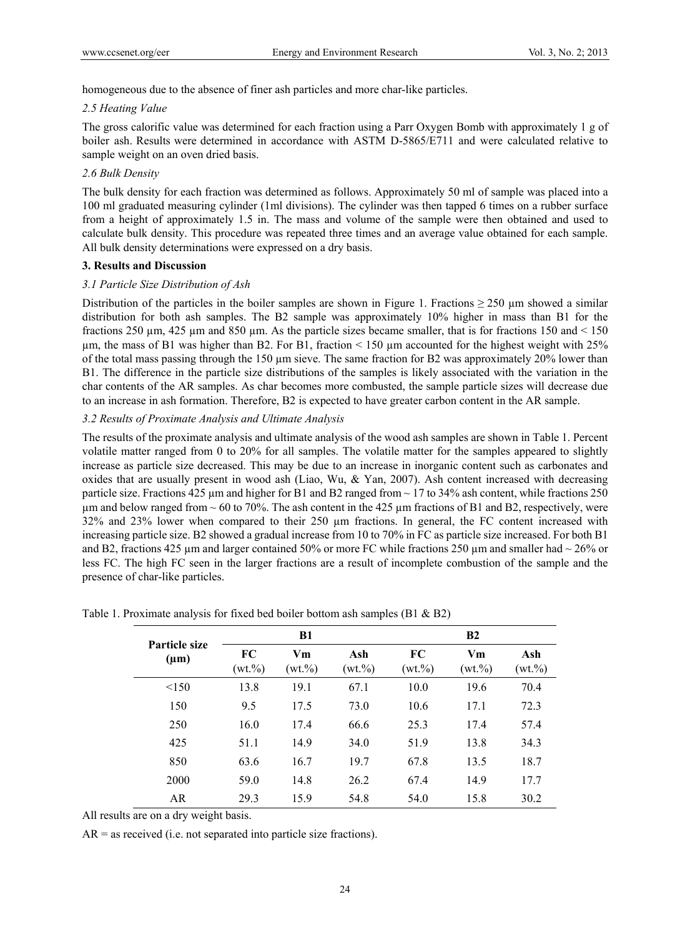homogeneous due to the absence of finer ash particles and more char-like particles.

# *2.5 Heating Value*

The gross calorific value was determined for each fraction using a Parr Oxygen Bomb with approximately 1 g of boiler ash. Results were determined in accordance with ASTM D-5865/E711 and were calculated relative to sample weight on an oven dried basis.

# *2.6 Bulk Density*

The bulk density for each fraction was determined as follows. Approximately 50 ml of sample was placed into a 100 ml graduated measuring cylinder (1ml divisions). The cylinder was then tapped 6 times on a rubber surface from a height of approximately 1.5 in. The mass and volume of the sample were then obtained and used to calculate bulk density. This procedure was repeated three times and an average value obtained for each sample. All bulk density determinations were expressed on a dry basis.

### **3. Results and Discussion**

# *3.1 Particle Size Distribution of Ash*

Distribution of the particles in the boiler samples are shown in Figure 1. Fractions  $\geq$  250 µm showed a similar distribution for both ash samples. The B2 sample was approximately 10% higher in mass than B1 for the fractions 250  $\mu$ m, 425  $\mu$ m and 850  $\mu$ m. As the particle sizes became smaller, that is for fractions 150 and < 150  $\mu$ m, the mass of B1 was higher than B2. For B1, fraction < 150  $\mu$ m accounted for the highest weight with 25% of the total mass passing through the 150 µm sieve. The same fraction for B2 was approximately 20% lower than B1. The difference in the particle size distributions of the samples is likely associated with the variation in the char contents of the AR samples. As char becomes more combusted, the sample particle sizes will decrease due to an increase in ash formation. Therefore, B2 is expected to have greater carbon content in the AR sample.

# *3.2 Results of Proximate Analysis and Ultimate Analysis*

The results of the proximate analysis and ultimate analysis of the wood ash samples are shown in Table 1. Percent volatile matter ranged from 0 to 20% for all samples. The volatile matter for the samples appeared to slightly increase as particle size decreased. This may be due to an increase in inorganic content such as carbonates and oxides that are usually present in wood ash (Liao, Wu, & Yan, 2007). Ash content increased with decreasing particle size. Fractions 425  $\mu$ m and higher for B1 and B2 ranged from  $\sim$  17 to 34% ash content, while fractions 250  $\mu$ m and below ranged from ~ 60 to 70%. The ash content in the 425  $\mu$ m fractions of B1 and B2, respectively, were 32% and 23% lower when compared to their 250 µm fractions. In general, the FC content increased with increasing particle size. B2 showed a gradual increase from 10 to 70% in FC as particle size increased. For both B1 and B2, fractions 425 µm and larger contained 50% or more FC while fractions 250 µm and smaller had  $\sim$  26% or less FC. The high FC seen in the larger fractions are a result of incomplete combustion of the sample and the presence of char-like particles.

| Particle size<br>$(\mu m)$ |                   | <b>B1</b>         |                    | B2                |                     |                    |
|----------------------------|-------------------|-------------------|--------------------|-------------------|---------------------|--------------------|
|                            | FC<br>$(wt. \% )$ | Vm<br>$(wt. \% )$ | Ash<br>$(wt. \% )$ | FC<br>$(wt. \% )$ | $Vm$<br>$(wt. \% )$ | Ash<br>$(wt. \% )$ |
| < 150                      | 13.8              | 19.1              | 67.1               | 10.0              | 19.6                | 70.4               |
| 150                        | 9.5               | 17.5              | 73.0               | 10.6              | 17.1                | 72.3               |
| 250                        | 16.0              | 17.4              | 66.6               | 25.3              | 17.4                | 57.4               |
| 425                        | 51.1              | 14.9              | 34.0               | 51.9              | 13.8                | 34.3               |
| 850                        | 63.6              | 16.7              | 19.7               | 67.8              | 13.5                | 18.7               |
| 2000                       | 59.0              | 14.8              | 26.2               | 67.4              | 14.9                | 17.7               |
| AR                         | 29.3              | 15.9              | 54.8               | 54.0              | 15.8                | 30.2               |

Table 1. Proximate analysis for fixed bed boiler bottom ash samples (B1 & B2)

All results are on a dry weight basis.

 $AR =$  as received (i.e. not separated into particle size fractions).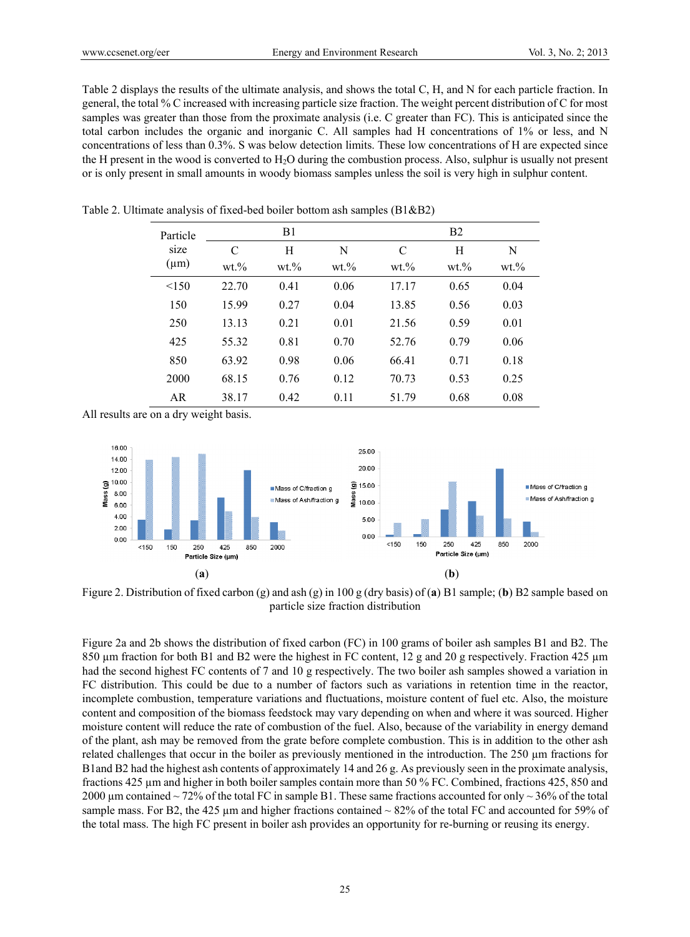Table 2 displays the results of the ultimate analysis, and shows the total C, H, and N for each particle fraction. In general, the total % C increased with increasing particle size fraction. The weight percent distribution of C for most samples was greater than those from the proximate analysis (i.e. C greater than FC). This is anticipated since the total carbon includes the organic and inorganic C. All samples had H concentrations of 1% or less, and N concentrations of less than 0.3%. S was below detection limits. These low concentrations of H are expected since the H present in the wood is converted to H2O during the combustion process. Also, sulphur is usually not present or is only present in small amounts in woody biomass samples unless the soil is very high in sulphur content.

| Particle  |        | B1     |        |        | B <sub>2</sub> |        |  |
|-----------|--------|--------|--------|--------|----------------|--------|--|
| size      | C      | Н      | N      | C      | Н              | N      |  |
| $(\mu m)$ | $wt$ % | $wt$ % | $wt$ % | $wt$ % | $wt$ %         | $wt$ % |  |
| < 150     | 22.70  | 0.41   | 0.06   | 17.17  | 0.65           | 0.04   |  |
| 150       | 15.99  | 0.27   | 0.04   | 13.85  | 0.56           | 0.03   |  |
| 250       | 13.13  | 0.21   | 0.01   | 21.56  | 0.59           | 0.01   |  |
| 425       | 55.32  | 0.81   | 0.70   | 52.76  | 0.79           | 0.06   |  |
| 850       | 63.92  | 0.98   | 0.06   | 66.41  | 0.71           | 0.18   |  |
| 2000      | 68.15  | 0.76   | 0.12   | 70.73  | 0.53           | 0.25   |  |
| AR        | 38.17  | 0.42   | 0.11   | 51.79  | 0.68           | 0.08   |  |

Table 2. Ultimate analysis of fixed-bed boiler bottom ash samples (B1&B2)

All results are on a dry weight basis.



Figure 2. Distribution of fixed carbon (g) and ash (g) in 100 g (dry basis) of (**a**) B1 sample; (**b**) B2 sample based on particle size fraction distribution

Figure 2a and 2b shows the distribution of fixed carbon (FC) in 100 grams of boiler ash samples B1 and B2. The 850 µm fraction for both B1 and B2 were the highest in FC content, 12 g and 20 g respectively. Fraction 425 µm had the second highest FC contents of 7 and 10 g respectively. The two boiler ash samples showed a variation in FC distribution. This could be due to a number of factors such as variations in retention time in the reactor, incomplete combustion, temperature variations and fluctuations, moisture content of fuel etc. Also, the moisture content and composition of the biomass feedstock may vary depending on when and where it was sourced. Higher moisture content will reduce the rate of combustion of the fuel. Also, because of the variability in energy demand of the plant, ash may be removed from the grate before complete combustion. This is in addition to the other ash related challenges that occur in the boiler as previously mentioned in the introduction. The 250 µm fractions for B1and B2 had the highest ash contents of approximately 14 and 26 g. As previously seen in the proximate analysis, fractions 425 µm and higher in both boiler samples contain more than 50 % FC. Combined, fractions 425, 850 and 2000 um contained ~ 72% of the total FC in sample B1. These same fractions accounted for only ~ 36% of the total sample mass. For B2, the 425  $\mu$ m and higher fractions contained  $\sim$  82% of the total FC and accounted for 59% of the total mass. The high FC present in boiler ash provides an opportunity for re-burning or reusing its energy.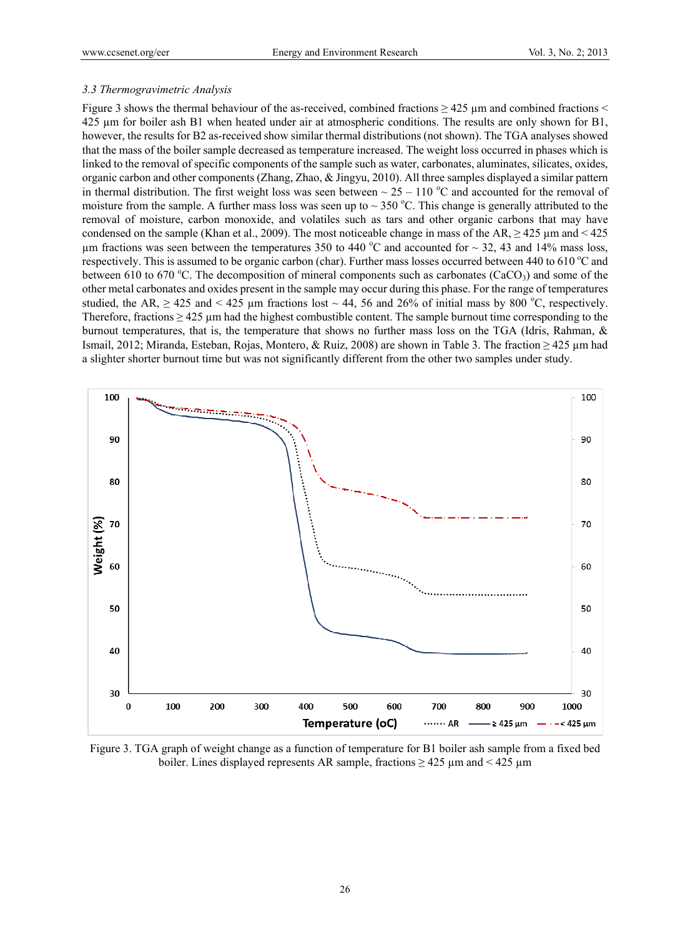#### *3.3 Thermogravimetric Analysis*

Figure 3 shows the thermal behaviour of the as-received, combined fractions  $\geq$  425  $\mu$ m and combined fractions  $\leq$ 425 µm for boiler ash B1 when heated under air at atmospheric conditions. The results are only shown for B1, however, the results for B2 as-received show similar thermal distributions (not shown). The TGA analyses showed that the mass of the boiler sample decreased as temperature increased. The weight loss occurred in phases which is linked to the removal of specific components of the sample such as water, carbonates, aluminates, silicates, oxides, organic carbon and other components (Zhang, Zhao, & Jingyu, 2010). All three samples displayed a similar pattern in thermal distribution. The first weight loss was seen between  $\sim 25 - 110$  °C and accounted for the removal of moisture from the sample. A further mass loss was seen up to  $\sim$  350 °C. This change is generally attributed to the removal of moisture, carbon monoxide, and volatiles such as tars and other organic carbons that may have condensed on the sample (Khan et al., 2009). The most noticeable change in mass of the AR,  $\geq$  425  $\mu$ m and < 425  $\mu$ m fractions was seen between the temperatures 350 to 440 °C and accounted for  $\sim$  32, 43 and 14% mass loss, respectively. This is assumed to be organic carbon (char). Further mass losses occurred between 440 to 610  $^{\circ}$ C and between 610 to 670 °C. The decomposition of mineral components such as carbonates (CaCO<sub>3</sub>) and some of the other metal carbonates and oxides present in the sample may occur during this phase. For the range of temperatures studied, the AR,  $\geq$  425 and < 425 µm fractions lost  $\sim$  44, 56 and 26% of initial mass by 800 °C, respectively. Therefore, fractions  $\geq 425$  µm had the highest combustible content. The sample burnout time corresponding to the burnout temperatures, that is, the temperature that shows no further mass loss on the TGA (Idris, Rahman, & Ismail, 2012; Miranda, Esteban, Rojas, Montero, & Ruiz, 2008) are shown in Table 3. The fraction ≥ 425 µm had a slighter shorter burnout time but was not significantly different from the other two samples under study.



Figure 3. TGA graph of weight change as a function of temperature for B1 boiler ash sample from a fixed bed boiler. Lines displayed represents AR sample, fractions  $\geq 425 \mu m$  and  $\leq 425 \mu m$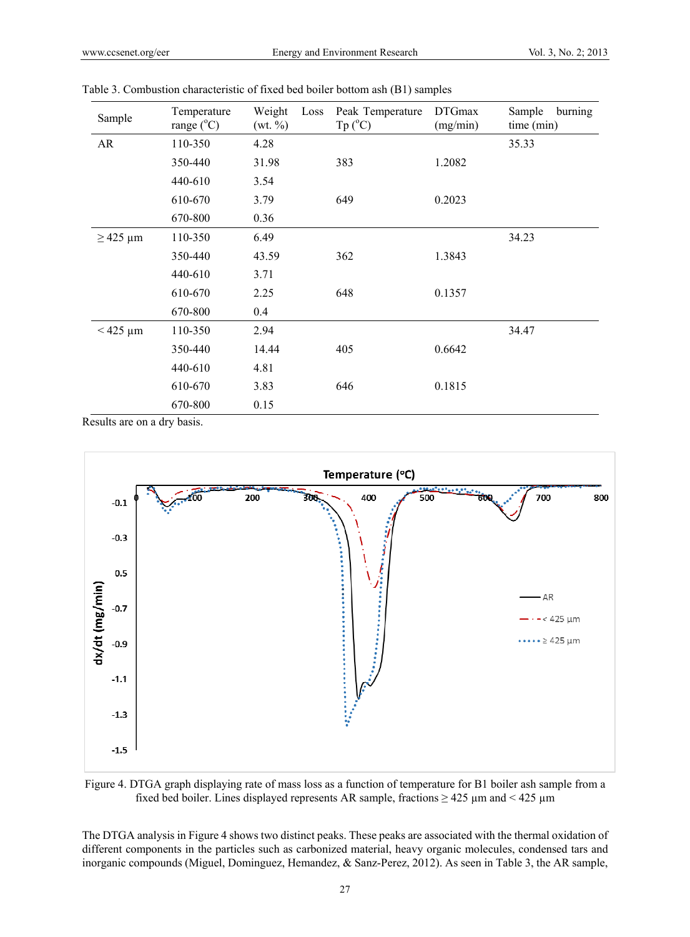| Sample        | Temperature<br>range $(^{\circ}C)$ | Weight<br>(wt. % ) | Loss | Peak Temperature<br>$Tp (^{\circ}C)$ | <b>DTGmax</b><br>(mg/min) | Sample<br>burning<br>time (min) |
|---------------|------------------------------------|--------------------|------|--------------------------------------|---------------------------|---------------------------------|
| AR            | 110-350                            | 4.28               |      |                                      |                           | 35.33                           |
|               | 350-440                            | 31.98              |      | 383                                  | 1.2082                    |                                 |
|               | 440-610                            | 3.54               |      |                                      |                           |                                 |
|               | 610-670                            | 3.79               |      | 649                                  | 0.2023                    |                                 |
|               | 670-800                            | 0.36               |      |                                      |                           |                                 |
| $\geq$ 425 µm | 110-350                            | 6.49               |      |                                      |                           | 34.23                           |
|               | 350-440                            | 43.59              |      | 362                                  | 1.3843                    |                                 |
|               | 440-610                            | 3.71               |      |                                      |                           |                                 |
|               | 610-670                            | 2.25               |      | 648                                  | 0.1357                    |                                 |
|               | 670-800                            | 0.4                |      |                                      |                           |                                 |
| $<$ 425 µm    | 110-350                            | 2.94               |      |                                      |                           | 34.47                           |
|               | 350-440                            | 14.44              |      | 405                                  | 0.6642                    |                                 |
|               | 440-610                            | 4.81               |      |                                      |                           |                                 |
|               | 610-670                            | 3.83               |      | 646                                  | 0.1815                    |                                 |
|               | 670-800                            | 0.15               |      |                                      |                           |                                 |

Table 3. Combustion characteristic of fixed bed boiler bottom ash (B1) samples

Results are on a dry basis.



Figure 4. DTGA graph displaying rate of mass loss as a function of temperature for B1 boiler ash sample from a fixed bed boiler. Lines displayed represents AR sample, fractions  $\geq 425 \mu m$  and  $\leq 425 \mu m$ 

The DTGA analysis in Figure 4 shows two distinct peaks. These peaks are associated with the thermal oxidation of different components in the particles such as carbonized material, heavy organic molecules, condensed tars and inorganic compounds (Miguel, Dominguez, Hemandez, & Sanz-Perez, 2012). As seen in Table 3, the AR sample,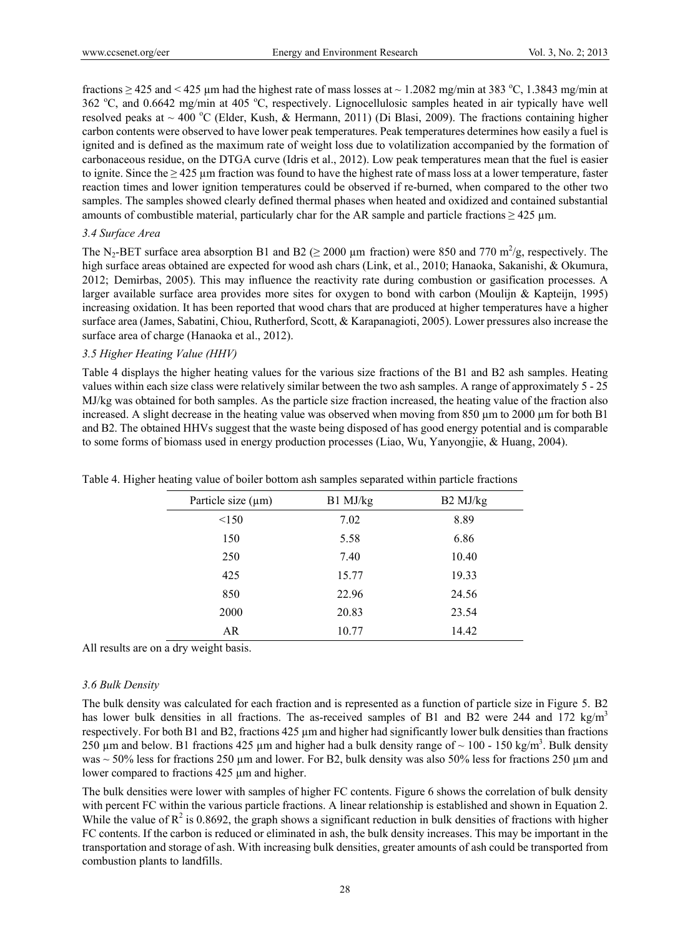fractions  $\geq$  425 and < 425 µm had the highest rate of mass losses at  $\sim$  1.2082 mg/min at 383 °C, 1.3843 mg/min at 362 °C, and 0.6642 mg/min at 405 °C, respectively. Lignocellulosic samples heated in air typically have well resolved peaks at  $\sim$  400 °C (Elder, Kush, & Hermann, 2011) (Di Blasi, 2009). The fractions containing higher carbon contents were observed to have lower peak temperatures. Peak temperatures determines how easily a fuel is ignited and is defined as the maximum rate of weight loss due to volatilization accompanied by the formation of carbonaceous residue, on the DTGA curve (Idris et al., 2012). Low peak temperatures mean that the fuel is easier to ignite. Since the  $\geq$  425 µm fraction was found to have the highest rate of mass loss at a lower temperature, faster reaction times and lower ignition temperatures could be observed if re-burned, when compared to the other two samples. The samples showed clearly defined thermal phases when heated and oxidized and contained substantial amounts of combustible material, particularly char for the AR sample and particle fractions  $\geq$  425 µm.

### *3.4 Surface Area*

The N<sub>2</sub>-BET surface area absorption B1 and B2 ( $\geq$  2000 µm fraction) were 850 and 770 m<sup>2</sup>/g, respectively. The high surface areas obtained are expected for wood ash chars (Link, et al., 2010; Hanaoka, Sakanishi, & Okumura, 2012; Demirbas, 2005). This may influence the reactivity rate during combustion or gasification processes. A larger available surface area provides more sites for oxygen to bond with carbon (Moulijn & Kapteijn, 1995) increasing oxidation. It has been reported that wood chars that are produced at higher temperatures have a higher surface area (James, Sabatini, Chiou, Rutherford, Scott, & Karapanagioti, 2005). Lower pressures also increase the surface area of charge (Hanaoka et al., 2012).

# *3.5 Higher Heating Value (HHV)*

Table 4 displays the higher heating values for the various size fractions of the B1 and B2 ash samples. Heating values within each size class were relatively similar between the two ash samples. A range of approximately 5 - 25 MJ/kg was obtained for both samples. As the particle size fraction increased, the heating value of the fraction also increased. A slight decrease in the heating value was observed when moving from 850 µm to 2000 µm for both B1 and B2. The obtained HHVs suggest that the waste being disposed of has good energy potential and is comparable to some forms of biomass used in energy production processes (Liao, Wu, Yanyongjie, & Huang, 2004).

| Particle size $(\mu m)$ | B1 MJ/kg | B2 MJ/kg |
|-------------------------|----------|----------|
| < 150                   | 7.02     | 8.89     |
| 150                     | 5.58     | 6.86     |
| 250                     | 7.40     | 10.40    |
| 425                     | 15.77    | 19.33    |
| 850                     | 22.96    | 24.56    |
| 2000                    | 20.83    | 23.54    |
| AR                      | 10.77    | 14.42    |

Table 4. Higher heating value of boiler bottom ash samples separated within particle fractions

All results are on a dry weight basis.

### *3.6 Bulk Density*

The bulk density was calculated for each fraction and is represented as a function of particle size in Figure 5. B2 has lower bulk densities in all fractions. The as-received samples of B1 and B2 were 244 and 172 kg/m<sup>3</sup> respectively. For both B1 and B2, fractions 425 µm and higher had significantly lower bulk densities than fractions 250 µm and below. B1 fractions 425 µm and higher had a bulk density range of  $\sim 100$  - 150 kg/m<sup>3</sup>. Bulk density was  $\sim$  50% less for fractions 250 µm and lower. For B2, bulk density was also 50% less for fractions 250 µm and lower compared to fractions 425 µm and higher.

The bulk densities were lower with samples of higher FC contents. Figure 6 shows the correlation of bulk density with percent FC within the various particle fractions. A linear relationship is established and shown in Equation 2. While the value of  $R^2$  is 0.8692, the graph shows a significant reduction in bulk densities of fractions with higher FC contents. If the carbon is reduced or eliminated in ash, the bulk density increases. This may be important in the transportation and storage of ash. With increasing bulk densities, greater amounts of ash could be transported from combustion plants to landfills.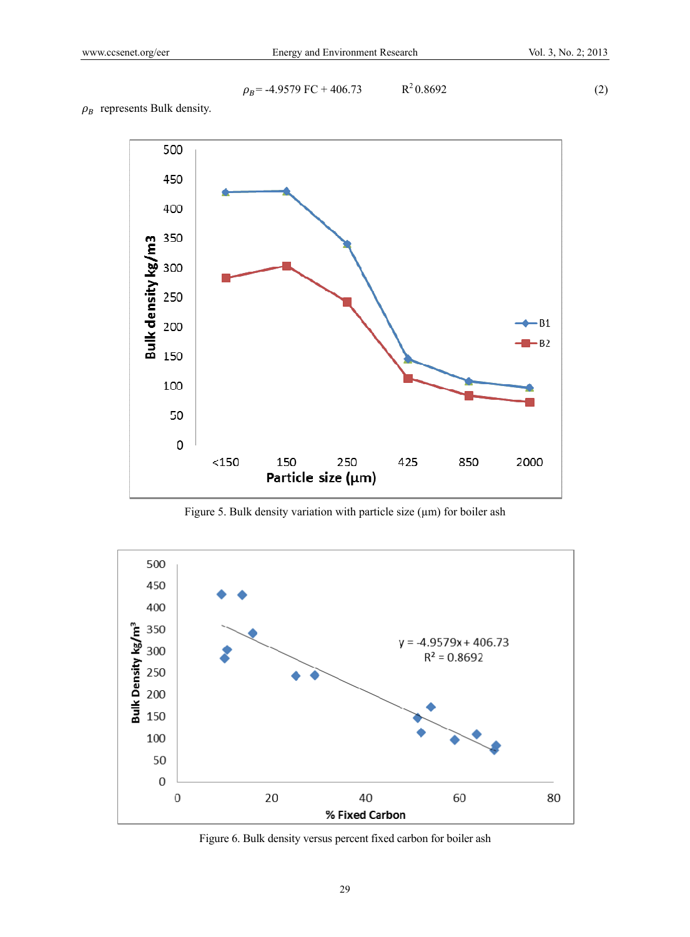$$
\rho_B = -4.9579 \text{ FC} + 406.73 \qquad \qquad \text{R}^2 0.8692 \tag{2}
$$

 $\rho_B$  represents Bulk density.



Figure 5. Bulk density variation with particle size (µm) for boiler ash



Figure 6. Bulk density versus percent fixed carbon for boiler ash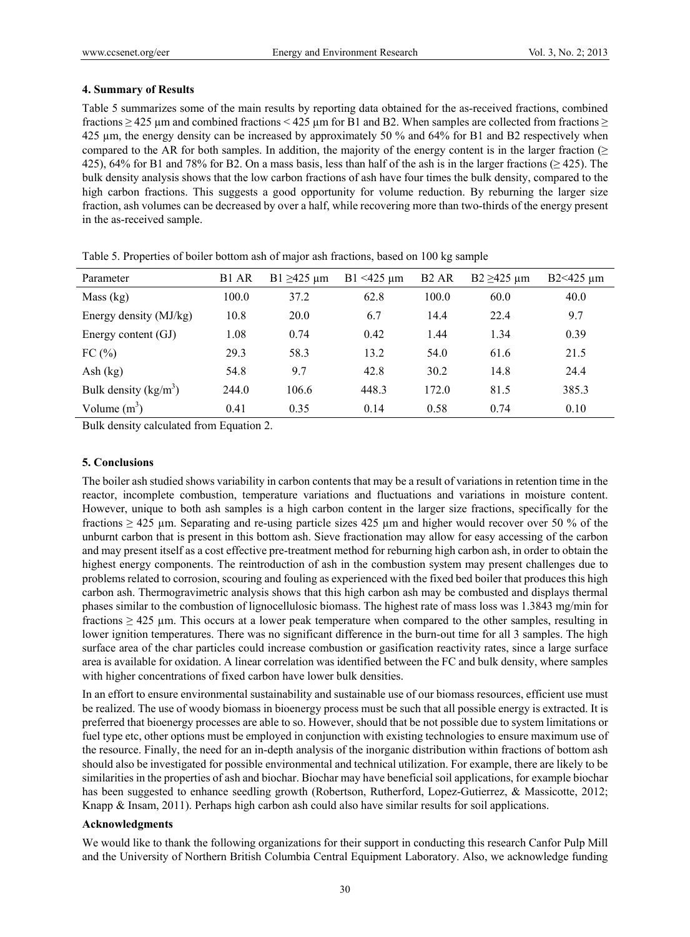# **4. Summary of Results**

Table 5 summarizes some of the main results by reporting data obtained for the as-received fractions, combined fractions  $\geq$  425  $\mu$ m and combined fractions < 425  $\mu$ m for B1 and B2. When samples are collected from fractions  $\geq$ 425 µm, the energy density can be increased by approximately 50 % and 64% for B1 and B2 respectively when compared to the AR for both samples. In addition, the majority of the energy content is in the larger fraction ( $\geq$ 425), 64% for B1 and 78% for B2. On a mass basis, less than half of the ash is in the larger fractions ( $\geq$  425). The bulk density analysis shows that the low carbon fractions of ash have four times the bulk density, compared to the high carbon fractions. This suggests a good opportunity for volume reduction. By reburning the larger size fraction, ash volumes can be decreased by over a half, while recovering more than two-thirds of the energy present in the as-received sample.

| Parameter               | B1 AR | B1 $\geq$ 425 µm | $B1 < 425 \mu m$ | B <sub>2</sub> AR | B2 $\geq$ 425 µm | $B2 < 425 \mu m$ |
|-------------------------|-------|------------------|------------------|-------------------|------------------|------------------|
| Mass (kg)               | 100.0 | 37.2             | 62.8             | 100.0             | 60.0             | 40.0             |
| Energy density (MJ/kg)  | 10.8  | 20.0             | 6.7              | 14.4              | 22.4             | 9.7              |
| Energy content (GJ)     | 1.08  | 0.74             | 0.42             | 1.44              | 1.34             | 0.39             |
| FC(%)                   | 29.3  | 58.3             | 13.2             | 54.0              | 61.6             | 21.5             |
| Ash $(kg)$              | 54.8  | 9.7              | 42.8             | 30.2              | 14.8             | 24.4             |
| Bulk density $(kg/m^3)$ | 244.0 | 106.6            | 448.3            | 172.0             | 81.5             | 385.3            |
| Volume $(m^3)$          | 0.41  | 0.35             | 0.14             | 0.58              | 0.74             | 0.10             |

Table 5. Properties of boiler bottom ash of major ash fractions, based on 100 kg sample

Bulk density calculated from Equation 2.

# **5. Conclusions**

The boiler ash studied shows variability in carbon contents that may be a result of variations in retention time in the reactor, incomplete combustion, temperature variations and fluctuations and variations in moisture content. However, unique to both ash samples is a high carbon content in the larger size fractions, specifically for the fractions  $\geq$  425 µm. Separating and re-using particle sizes 425 µm and higher would recover over 50 % of the unburnt carbon that is present in this bottom ash. Sieve fractionation may allow for easy accessing of the carbon and may present itself as a cost effective pre-treatment method for reburning high carbon ash, in order to obtain the highest energy components. The reintroduction of ash in the combustion system may present challenges due to problems related to corrosion, scouring and fouling as experienced with the fixed bed boiler that produces this high carbon ash. Thermogravimetric analysis shows that this high carbon ash may be combusted and displays thermal phases similar to the combustion of lignocellulosic biomass. The highest rate of mass loss was 1.3843 mg/min for fractions  $\geq$  425 µm. This occurs at a lower peak temperature when compared to the other samples, resulting in lower ignition temperatures. There was no significant difference in the burn-out time for all 3 samples. The high surface area of the char particles could increase combustion or gasification reactivity rates, since a large surface area is available for oxidation. A linear correlation was identified between the FC and bulk density, where samples with higher concentrations of fixed carbon have lower bulk densities.

In an effort to ensure environmental sustainability and sustainable use of our biomass resources, efficient use must be realized. The use of woody biomass in bioenergy process must be such that all possible energy is extracted. It is preferred that bioenergy processes are able to so. However, should that be not possible due to system limitations or fuel type etc, other options must be employed in conjunction with existing technologies to ensure maximum use of the resource. Finally, the need for an in-depth analysis of the inorganic distribution within fractions of bottom ash should also be investigated for possible environmental and technical utilization. For example, there are likely to be similarities in the properties of ash and biochar. Biochar may have beneficial soil applications, for example biochar has been suggested to enhance seedling growth (Robertson, Rutherford, Lopez-Gutierrez, & Massicotte, 2012; Knapp & Insam, 2011). Perhaps high carbon ash could also have similar results for soil applications.

### **Acknowledgments**

We would like to thank the following organizations for their support in conducting this research Canfor Pulp Mill and the University of Northern British Columbia Central Equipment Laboratory. Also, we acknowledge funding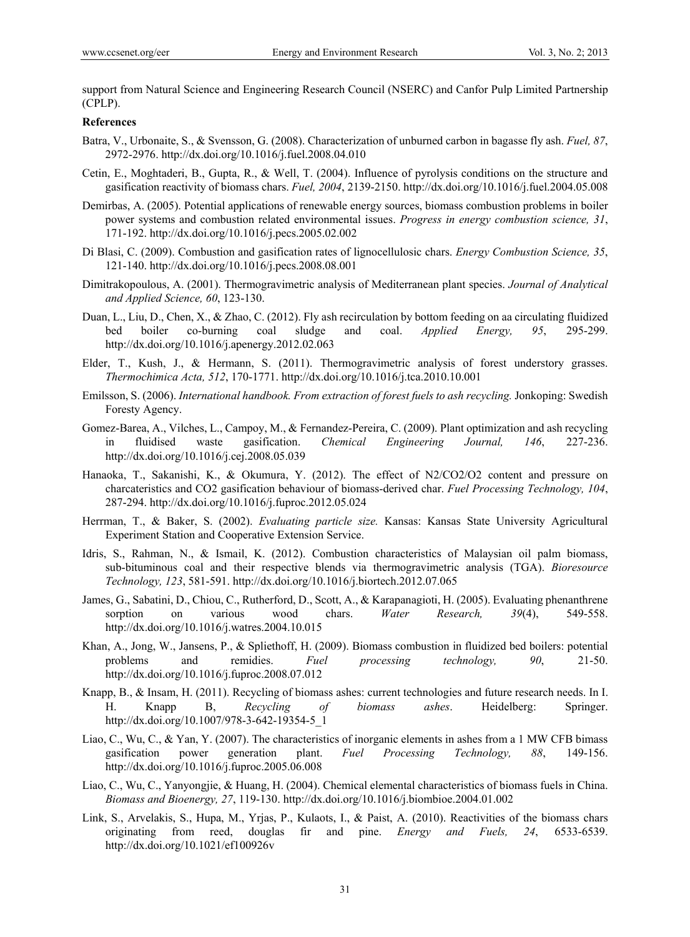support from Natural Science and Engineering Research Council (NSERC) and Canfor Pulp Limited Partnership (CPLP).

### **References**

- Batra, V., Urbonaite, S., & Svensson, G. (2008). Characterization of unburned carbon in bagasse fly ash. *Fuel, 87*, 2972-2976. http://dx.doi.org/10.1016/j.fuel.2008.04.010
- Cetin, E., Moghtaderi, B., Gupta, R., & Well, T. (2004). Influence of pyrolysis conditions on the structure and gasification reactivity of biomass chars. *Fuel, 2004*, 2139-2150. http://dx.doi.org/10.1016/j.fuel.2004.05.008
- Demirbas, A. (2005). Potential applications of renewable energy sources, biomass combustion problems in boiler power systems and combustion related environmental issues. *Progress in energy combustion science, 31*, 171-192. http://dx.doi.org/10.1016/j.pecs.2005.02.002
- Di Blasi, C. (2009). Combustion and gasification rates of lignocellulosic chars. *Energy Combustion Science, 35*, 121-140. http://dx.doi.org/10.1016/j.pecs.2008.08.001
- Dimitrakopoulous, A. (2001). Thermogravimetric analysis of Mediterranean plant species. *Journal of Analytical and Applied Science, 60*, 123-130.
- Duan, L., Liu, D., Chen, X., & Zhao, C. (2012). Fly ash recirculation by bottom feeding on aa circulating fluidized bed boiler co-burning coal sludge and coal. *Applied Energy, 95*, 295-299. http://dx.doi.org/10.1016/j.apenergy.2012.02.063
- Elder, T., Kush, J., & Hermann, S. (2011). Thermogravimetric analysis of forest understory grasses. *Thermochimica Acta, 512*, 170-1771. http://dx.doi.org/10.1016/j.tca.2010.10.001
- Emilsson, S. (2006). *International handbook. From extraction of forest fuels to ash recycling.* Jonkoping: Swedish Foresty Agency.
- Gomez-Barea, A., Vilches, L., Campoy, M., & Fernandez-Pereira, C. (2009). Plant optimization and ash recycling in fluidised waste gasification. *Chemical Engineering Journal, 146*, 227-236. http://dx.doi.org/10.1016/j.cej.2008.05.039
- Hanaoka, T., Sakanishi, K., & Okumura, Y. (2012). The effect of N2/CO2/O2 content and pressure on charcateristics and CO2 gasification behaviour of biomass-derived char. *Fuel Processing Technology, 104*, 287-294. http://dx.doi.org/10.1016/j.fuproc.2012.05.024
- Herrman, T., & Baker, S. (2002). *Evaluating particle size.* Kansas: Kansas State University Agricultural Experiment Station and Cooperative Extension Service.
- Idris, S., Rahman, N., & Ismail, K. (2012). Combustion characteristics of Malaysian oil palm biomass, sub-bituminous coal and their respective blends via thermogravimetric analysis (TGA). *Bioresource Technology, 123*, 581-591. http://dx.doi.org/10.1016/j.biortech.2012.07.065
- James, G., Sabatini, D., Chiou, C., Rutherford, D., Scott, A., & Karapanagioti, H. (2005). Evaluating phenanthrene sorption on various wood chars. *Water Research, 39*(4), 549-558. http://dx.doi.org/10.1016/j.watres.2004.10.015
- Khan, A., Jong, W., Jansens, P., & Spliethoff, H. (2009). Biomass combustion in fluidized bed boilers: potential problems and remidies. *Fuel processing technology, 90*, 21-50. http://dx.doi.org/10.1016/j.fuproc.2008.07.012
- Knapp, B., & Insam, H. (2011). Recycling of biomass ashes: current technologies and future research needs. In I. H. Knapp B, *Recycling of biomass ashes*. Heidelberg: Springer. http://dx.doi.org/10.1007/978-3-642-19354-5\_1
- Liao, C., Wu, C., & Yan, Y. (2007). The characteristics of inorganic elements in ashes from a 1 MW CFB bimass gasification power generation plant. *Fuel Processing Technology, 88*, 149-156. http://dx.doi.org/10.1016/j.fuproc.2005.06.008
- Liao, C., Wu, C., Yanyongjie, & Huang, H. (2004). Chemical elemental characteristics of biomass fuels in China. *Biomass and Bioenergy, 27*, 119-130. http://dx.doi.org/10.1016/j.biombioe.2004.01.002
- Link, S., Arvelakis, S., Hupa, M., Yrjas, P., Kulaots, I., & Paist, A. (2010). Reactivities of the biomass chars originating from reed, douglas fir and pine. *Energy and Fuels, 24*, 6533-6539. http://dx.doi.org/10.1021/ef100926v